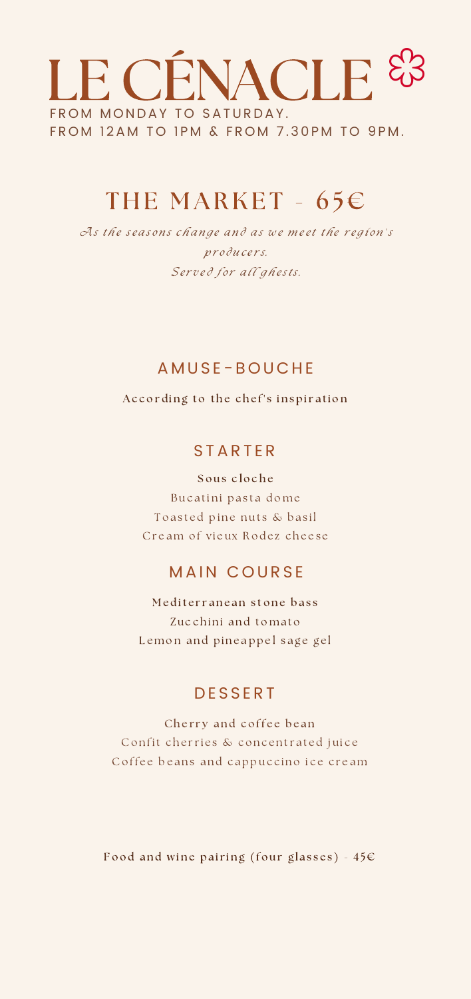## LE CÉNACLE FROM MONDAY TO SATURDAY. FROM 12AM TO 1PM & FROM 7.30PM TO 9PM.

### THE MARKET -  $65E$

As the seasons change and as we meet the region's producers. Served for all ghests.

#### A M US E - B O U C HE

According to the chef's inspiration

#### **STARTER**

Sous cloche Bucatini pasta dome To a sted pine nuts & basil Cream of vieux [R](https://www.linguee.fr/anglais-francais/traduction/pine+nuts.html)odez cheese

#### MAIN COURSE

e diterranean stone bass **C** Zucchini and tomato Lemon and pineappel sage gel

#### **DESSERT**

Cherry and coffee bean Confit cherries & concentrated juice Coffee beans and cappuccino ice cream

Food and wine pairing (four glasses) -  $45\epsilon$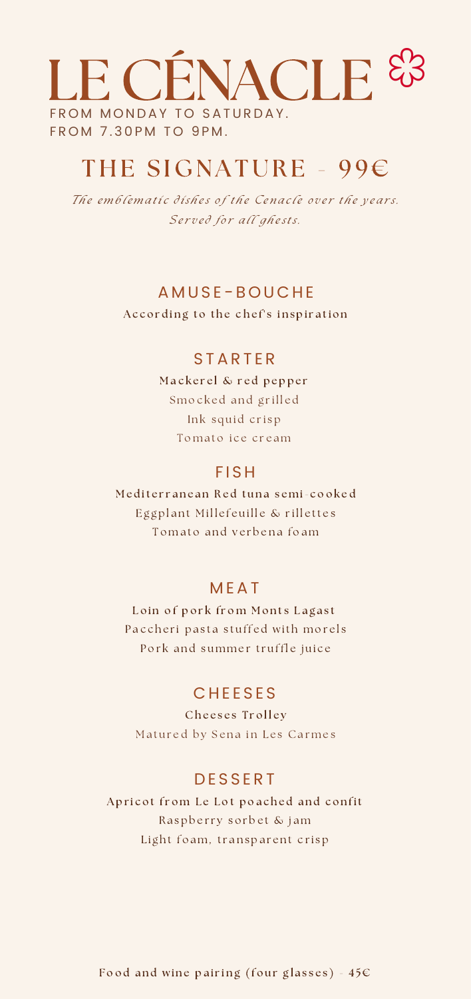# CÉNACLE FROM 7.30PM TO 9PM. FROM MONDAY TO SATURDAY.

### THE SIGNATURE - 99€

The emblematic dishes of the Cenacle over the years. Served for all ghests.

#### A M US E - B O U C HE

According to the chef's inspiration

#### **STARTER**

a c k e r e l & r e d p e p p e r a ckerel  $\infty$  red peppe<br>mocked and grilled I Ink squid crisp Tomato ice cream

#### **FISH**

e diterranean Red tuna semi-cooked  $\mathfrak{a}$ terranean Red tuna semi-cool.<br>ggplant Millefeuille & rillettes  $\frac{0}{2}$ Tomato and verbena foam

#### M EAT

Loin of pork from Monts Lagast Loin or pork from Monts Lagast<br>accheri pasta stuffed with morels  $\mathcal{C}$ Pork and summer truffle juice

#### **CHEESES**

Cheeses Trolley Matured by Sena in Les Carmes

### **DESSERT**

ricot from Le Lot poached and confit RRaspberry sorbet & jam Light foa[m](https://www.linguee.fr/anglais-francais/traduction/raspberry.html), transparent crisp

Food and wine pairing (four glasses)  $-45\varepsilon$